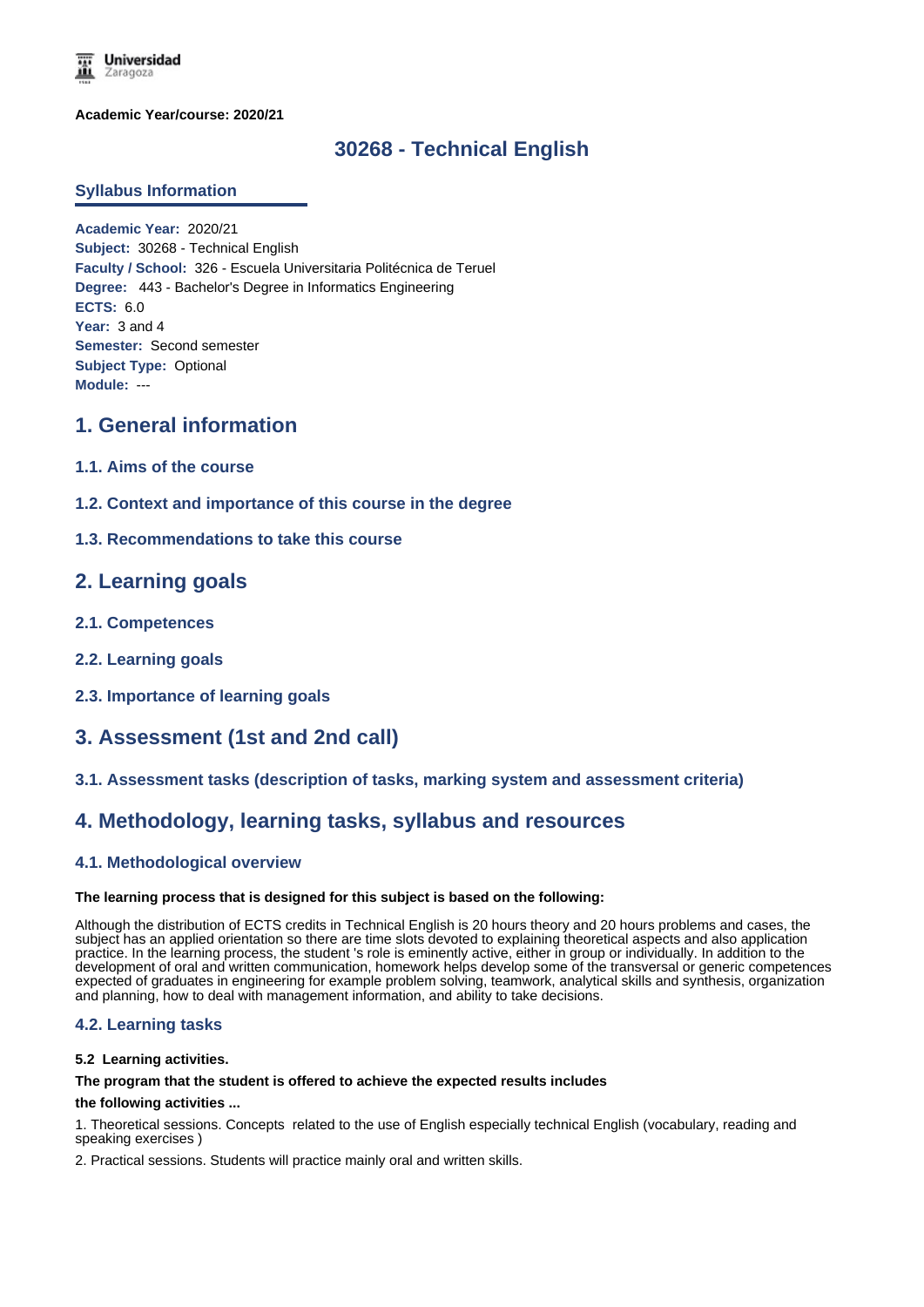

**Academic Year/course: 2020/21**

# **30268 - Technical English**

### **Syllabus Information**

**Academic Year:** 2020/21 **Subject:** 30268 - Technical English **Faculty / School:** 326 - Escuela Universitaria Politécnica de Teruel **Degree:** 443 - Bachelor's Degree in Informatics Engineering **ECTS:** 6.0 **Year:** 3 and 4 **Semester:** Second semester **Subject Type:** Optional **Module:** ---

## **1. General information**

- **1.1. Aims of the course**
- **1.2. Context and importance of this course in the degree**
- **1.3. Recommendations to take this course**

## **2. Learning goals**

- **2.1. Competences**
- **2.2. Learning goals**
- **2.3. Importance of learning goals**

## **3. Assessment (1st and 2nd call)**

### **3.1. Assessment tasks (description of tasks, marking system and assessment criteria)**

## **4. Methodology, learning tasks, syllabus and resources**

### **4.1. Methodological overview**

#### **The learning process that is designed for this subject is based on the following:**

Although the distribution of ECTS credits in Technical English is 20 hours theory and 20 hours problems and cases, the subject has an applied orientation so there are time slots devoted to explaining theoretical aspects and also application practice. In the learning process, the student 's role is eminently active, either in group or individually. In addition to the development of oral and written communication, homework helps develop some of the transversal or generic competences expected of graduates in engineering for example problem solving, teamwork, analytical skills and synthesis, organization and planning, how to deal with management information, and ability to take decisions.

### **4.2. Learning tasks**

#### **5.2 Learning activities.**

#### **The program that the student is offered to achieve the expected results includes**

#### **the following activities ...**

1. Theoretical sessions. Concepts related to the use of English especially technical English (vocabulary, reading and speaking exercises )

2. Practical sessions. Students will practice mainly oral and written skills.